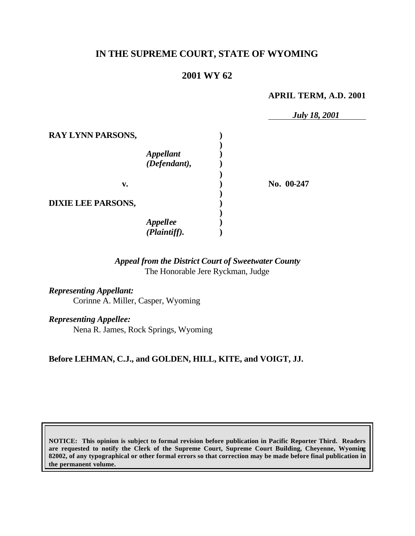# **IN THE SUPREME COURT, STATE OF WYOMING**

# **2001 WY 62**

### **APRIL TERM, A.D. 2001**

*July 18, 2001* **RAY LYNN PARSONS, ) )** *Appellant* **)** *(Defendant),* **) ) v. ) No. 00-247 ) DIXIE LEE PARSONS, ) )** *Appellee* **)** *(Plaintiff).* **)**

## *Appeal from the District Court of Sweetwater County* The Honorable Jere Ryckman, Judge

*Representing Appellant:* Corinne A. Miller, Casper, Wyoming

*Representing Appellee:*

Nena R. James, Rock Springs, Wyoming

## **Before LEHMAN, C.J., and GOLDEN, HILL, KITE, and VOIGT, JJ.**

**NOTICE: This opinion is subject to formal revision before publication in Pacific Reporter Third. Readers are requested to notify the Clerk of the Supreme Court, Supreme Court Building, Cheyenne, Wyoming 82002, of any typographical or other formal errors so that correction may be made before final publication in the permanent volume.**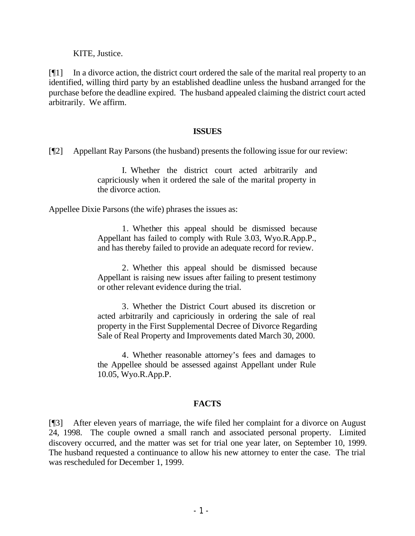KITE, Justice.

[¶1] In a divorce action, the district court ordered the sale of the marital real property to an identified, willing third party by an established deadline unless the husband arranged for the purchase before the deadline expired. The husband appealed claiming the district court acted arbitrarily. We affirm.

### **ISSUES**

[¶2] Appellant Ray Parsons (the husband) presents the following issue for our review:

I. Whether the district court acted arbitrarily and capriciously when it ordered the sale of the marital property in the divorce action.

Appellee Dixie Parsons (the wife) phrases the issues as:

1. Whether this appeal should be dismissed because Appellant has failed to comply with Rule 3.03, Wyo.R.App.P., and has thereby failed to provide an adequate record for review.

2. Whether this appeal should be dismissed because Appellant is raising new issues after failing to present testimony or other relevant evidence during the trial.

3. Whether the District Court abused its discretion or acted arbitrarily and capriciously in ordering the sale of real property in the First Supplemental Decree of Divorce Regarding Sale of Real Property and Improvements dated March 30, 2000.

4. Whether reasonable attorney's fees and damages to the Appellee should be assessed against Appellant under Rule 10.05, Wyo.R.App.P.

## **FACTS**

[¶3] After eleven years of marriage, the wife filed her complaint for a divorce on August 24, 1998. The couple owned a small ranch and associated personal property. Limited discovery occurred, and the matter was set for trial one year later, on September 10, 1999. The husband requested a continuance to allow his new attorney to enter the case. The trial was rescheduled for December 1, 1999.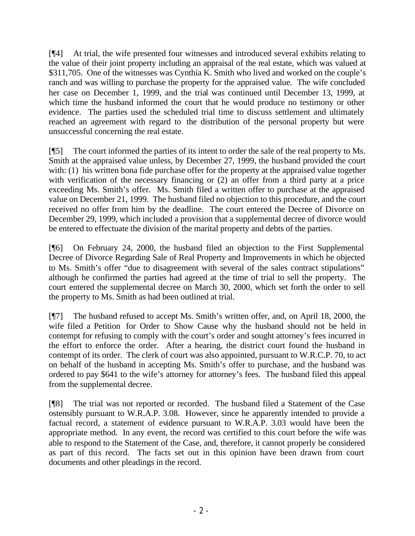[¶4] At trial, the wife presented four witnesses and introduced several exhibits relating to the value of their joint property including an appraisal of the real estate, which was valued at \$311,705. One of the witnesses was Cynthia K. Smith who lived and worked on the couple's ranch and was willing to purchase the property for the appraised value. The wife concluded her case on December 1, 1999, and the trial was continued until December 13, 1999, at which time the husband informed the court that he would produce no testimony or other evidence. The parties used the scheduled trial time to discuss settlement and ultimately reached an agreement with regard to the distribution of the personal property but were unsuccessful concerning the real estate.

[¶5] The court informed the parties of its intent to order the sale of the real property to Ms. Smith at the appraised value unless, by December 27, 1999, the husband provided the court with: (1) his written bona fide purchase offer for the property at the appraised value together with verification of the necessary financing or (2) an offer from a third party at a price exceeding Ms. Smith's offer. Ms. Smith filed a written offer to purchase at the appraised value on December 21, 1999. The husband filed no objection to this procedure, and the court received no offer from him by the deadline. The court entered the Decree of Divorce on December 29, 1999, which included a provision that a supplemental decree of divorce would be entered to effectuate the division of the marital property and debts of the parties.

[¶6] On February 24, 2000, the husband filed an objection to the First Supplemental Decree of Divorce Regarding Sale of Real Property and Improvements in which he objected to Ms. Smith's offer "due to disagreement with several of the sales contract stipulations" although he confirmed the parties had agreed at the time of trial to sell the property. The court entered the supplemental decree on March 30, 2000, which set forth the order to sell the property to Ms. Smith as had been outlined at trial.

[¶7] The husband refused to accept Ms. Smith's written offer, and, on April 18, 2000, the wife filed a Petition for Order to Show Cause why the husband should not be held in contempt for refusing to comply with the court's order and sought attorney's fees incurred in the effort to enforce the order. After a hearing, the district court found the husband in contempt of its order. The clerk of court was also appointed, pursuant to W.R.C.P. 70, to act on behalf of the husband in accepting Ms. Smith's offer to purchase, and the husband was ordered to pay \$641 to the wife's attorney for attorney's fees. The husband filed this appeal from the supplemental decree.

[¶8] The trial was not reported or recorded. The husband filed a Statement of the Case ostensibly pursuant to W.R.A.P. 3.08. However, since he apparently intended to provide a factual record, a statement of evidence pursuant to W.R.A.P. 3.03 would have been the appropriate method. In any event, the record was certified to this court before the wife was able to respond to the Statement of the Case, and, therefore, it cannot properly be considered as part of this record. The facts set out in this opinion have been drawn from court documents and other pleadings in the record.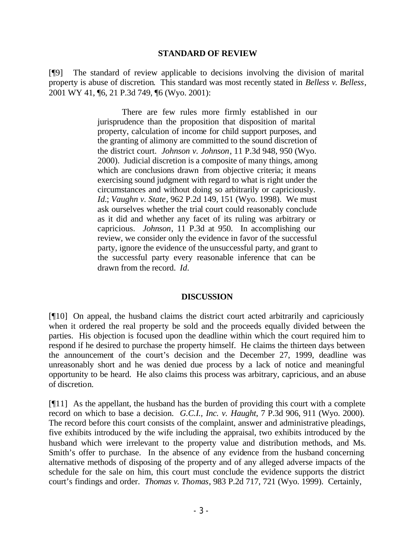#### **STANDARD OF REVIEW**

[¶9] The standard of review applicable to decisions involving the division of marital property is abuse of discretion. This standard was most recently stated in *Belless v. Belless*, 2001 WY 41, ¶6, 21 P.3d 749, ¶6 (Wyo. 2001):

> There are few rules more firmly established in our jurisprudence than the proposition that disposition of marital property, calculation of income for child support purposes, and the granting of alimony are committed to the sound discretion of the district court. *Johnson v. Johnson*, 11 P.3d 948, 950 (Wyo. 2000). Judicial discretion is a composite of many things, among which are conclusions drawn from objective criteria; it means exercising sound judgment with regard to what is right under the circumstances and without doing so arbitrarily or capriciously. *Id.*; *Vaughn v. State*, 962 P.2d 149, 151 (Wyo. 1998). We must ask ourselves whether the trial court could reasonably conclude as it did and whether any facet of its ruling was arbitrary or capricious. *Johnson*, 11 P.3d at 950. In accomplishing our review, we consider only the evidence in favor of the successful party, ignore the evidence of the unsuccessful party, and grant to the successful party every reasonable inference that can be drawn from the record. *Id.*

## **DISCUSSION**

[¶10] On appeal, the husband claims the district court acted arbitrarily and capriciously when it ordered the real property be sold and the proceeds equally divided between the parties. His objection is focused upon the deadline within which the court required him to respond if he desired to purchase the property himself. He claims the thirteen days between the announcement of the court's decision and the December 27, 1999, deadline was unreasonably short and he was denied due process by a lack of notice and meaningful opportunity to be heard. He also claims this process was arbitrary, capricious, and an abuse of discretion.

[¶11] As the appellant, the husband has the burden of providing this court with a complete record on which to base a decision. *G.C.I., Inc. v. Haught*, 7 P.3d 906, 911 (Wyo. 2000). The record before this court consists of the complaint, answer and administrative pleadings, five exhibits introduced by the wife including the appraisal, two exhibits introduced by the husband which were irrelevant to the property value and distribution methods, and Ms. Smith's offer to purchase. In the absence of any evidence from the husband concerning alternative methods of disposing of the property and of any alleged adverse impacts of the schedule for the sale on him, this court must conclude the evidence supports the district court's findings and order. *Thomas v. Thomas*, 983 P.2d 717, 721 (Wyo. 1999). Certainly,